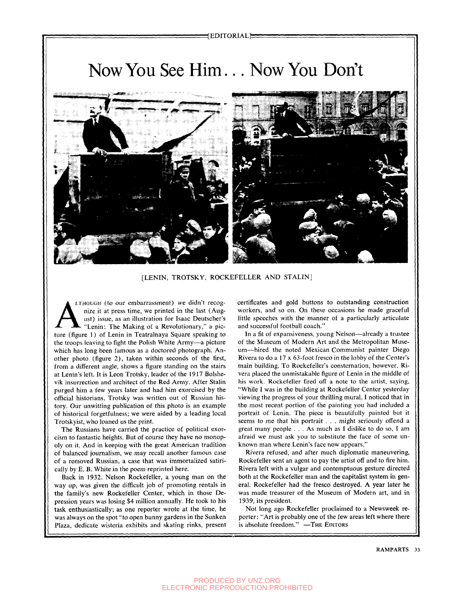

[LENIN, TROTSKY, ROCKEFELLER AND STALIN]

LTHOUGH (to our embarrassment) we didn't recognize it at press time, we printed in the last (August) issue, as an illustration for Isaac Deutscher's "Lenin: The Making of a Revolutionary," a picture (figure 1) of Lenin in Teatralnaya Square speaking to the troops leaving to fight the Polish White Army—a picture which has long been famous as a doctored photograph. Another photo (figure 2), taken within seconds of the first, from a different angle, shows a figure standing on the stairs at Lenin's left. It is Leon Trotsky, leader of the 1917 Bolshevik insurrection and architect of the Red Army. After Stalin purged him a few years later and had him exorcised by the official historians, Trotsky was written out of Russian history. Our unwitting publication of this photo is an example of historical forgetfulness; we were aided by a leading local Trotskyist, who loaned us the print.

The Russians have carried the practice of political exorcism to fantastic heights. But of course they have no monopoly on it. And in keeping with the great American tradition of balanced journalism, we may recall another famous case of a removed Russian, a case that was immortalized satirically by E. B. White in the poem reprinted here.

Back in 1932, Nelson Rockefeller, a young man on the way up, was given the difficult job of promoting rentals in the family's new Rockefeller Center, which in those Depression years was losing \$4 million annually. He took to his task enthusiastically; as one reporter wrote at the time, he was always on the spot "to open bunny gardens in the Sunken Plaza, dedicate wisteria exhibits and skating rinks, present certificates and gold buttons to outstanding construction workers, and so on. On these occasions he made graceful little speeches with the manner of a particularly articulate and successful football coach."

In a fit of expansiveness, young Nelson—already a trustee of the Museum of Modern Art and the Metropolitan Museum—hired the noted Mexican Communist painter Diego Rivera to do a 17 x 63-foot fresco in the lobby of the Center's main building. To Rockefeller's consternation, however, Rivera placed the unmistakable figure of Lenin in the middle of his work. Rockefeller fired off a note to the artist, saying, "While I was in the building at Rockefeller Center yesterday viewing the progress of your thrilling mural, I noticed that in the most recent portion of the painting you had included a portrait of Lenin. The piece is beautifully painted but it seems to me that his portrait . . , might seriously offend a great many people .. . As much as I dislike to do so, I am afraid we must ask you to substitute the face of some unknown man where Lenin's face now appears."

Rivera refused, and after much diplomatic maneuvering, Rockefeller sent an agent to pay the artist off and to fire him. Rivera left with a vulgar and contemptuous gesture directed both at the Rockefeller man and the capitalist system in general. Rockefeller had the fresco destroyed. A year later he was made treasurer of the Museum of Modern art, and in 1939, its president.

Not long ago Rockefeller proclaimed to a Newsweek reporter: "Art is probably one of the few areas left where there is absolute freedom." —THE EDITORS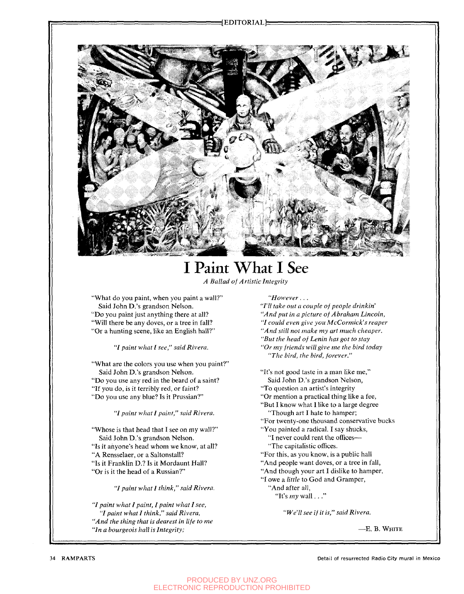

## I Paint What I See *A Ballad of A rtistic Integrity*

"What do you paint, when you paint a wall?" Said John D.'s grandson Nelson. "Do you paint just anything there at all? "Will there be any doves, or a tree in fall? "Or a hunting scene, like an English hall?"

"/ *paint what I see," said Rivera.* 

"What are the colors you use when you paint?" Said John D.'s grandson Nelson. "Do you use any red in the beard of a saint? "If you do, is it terribly red, or faint? "Do you use any blue? Is it Prussian?"

"/ *paint what I paint," said Rivera.* 

"Whose is that head that I see on my wall?" Said John D.'s grandson Nelson. "Is it anyone's head whom we know, at all? "A Rensselaer, or a Saltonstall? "Is it Franklin D.? Is it Mordaunt Hall? "Or is it the head of a Russian?"

"/ *paint what I think," said Rivera.* 

*"I paint what I paint, 1 paint what I see, "I paint what I think," said Rivera, "And the thing that is dearest in life to me "In a bourgeois hall is Integrity:* 

## *"However . . .*

*"I'll take out a couple of people drinkin' "And put in a picture of Abraham Lincoln, "I could even give you McCormick's reaper "And still not make my art much cheaper. "But the head of Lenin has got to stay "Or my friends will give me the bird today "The bird, the bird, forever."* 

"It's not good taste in a man like me," Said John D.'s grandson Nelson, "To question an artist's integrity "Or mention a practical thing like a fee, "But I know what I like to a large degree "Though art I hate to hamper; "For twenty-one thousand conservative bucks "You painted a radical. I say shucks, "I never could rent the offices— "The capitalistic offices. "For this, as you know, is a public hall "And people want doves, or a tree in fall, "And though your art I dislike to hamper, "I owe a *little* to God and Gramper, "And after all, "It's *my* wall. . ."

*"We'll see if it is," said Rivera.* 

—E. B. WHITE